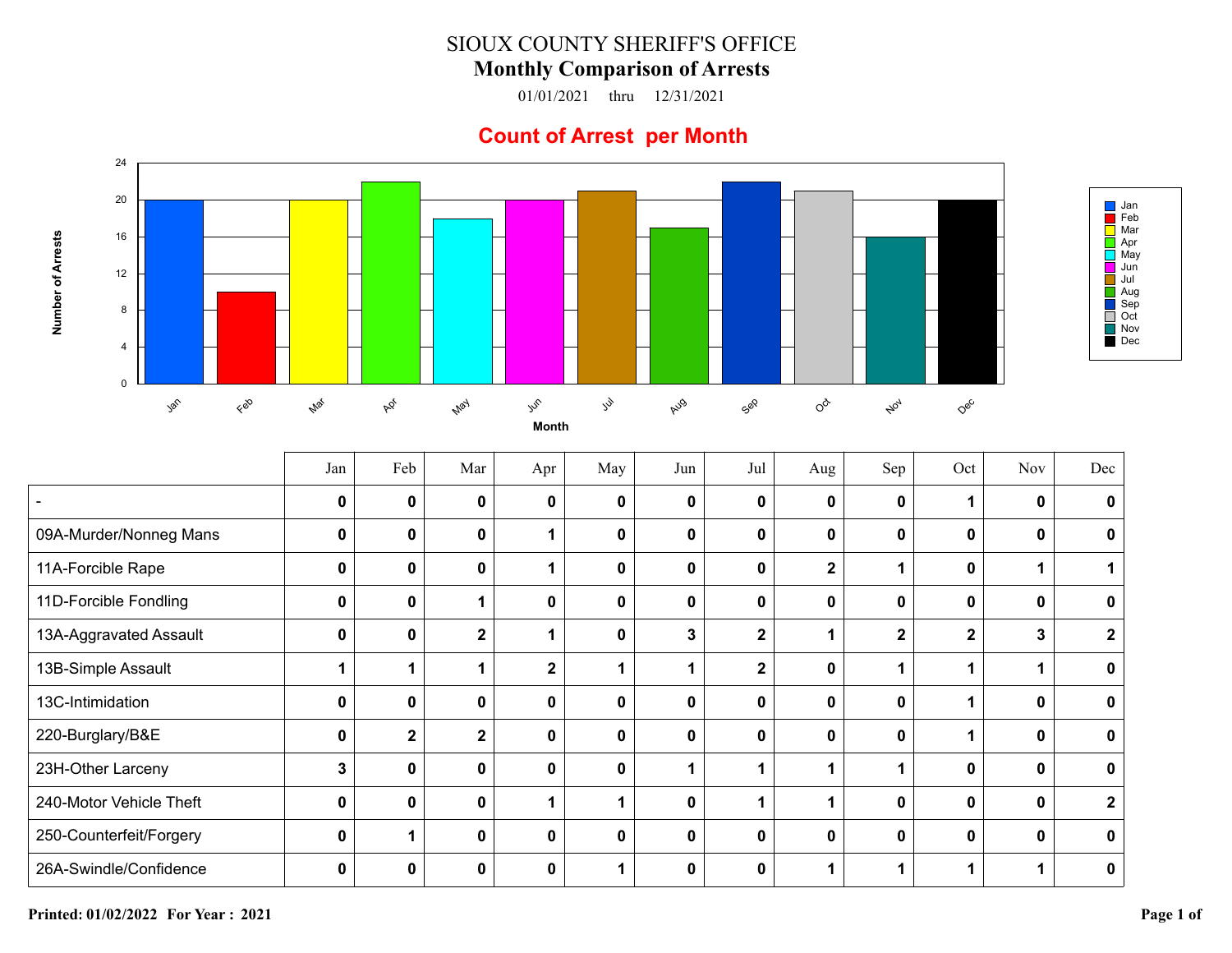## SIOUX COUNTY SHERIFF'S OFFICE

## **Monthly Comparison of Arrests**

01/01/2021 thru 12/31/2021

## **Count of Arrest per Month**



|                         | Jan          | Feb            | Mar          | Apr          | May         | Jun | Jul                     | Aug          | Sep          | Oct          | Nov | Dec          |
|-------------------------|--------------|----------------|--------------|--------------|-------------|-----|-------------------------|--------------|--------------|--------------|-----|--------------|
|                         | $\mathbf{0}$ | 0              | $\mathbf{0}$ | 0            | 0           | 0   | 0                       | $\mathbf{0}$ | $\bf{0}$     | 1            | U   | 0            |
| 09A-Murder/Nonneg Mans  | $\mathbf{0}$ | 0              | $\mathbf 0$  |              | $\mathbf 0$ | 0   | $\mathbf 0$             | $\mathbf 0$  | 0            | $\mathbf 0$  | 0   | 0            |
| 11A-Forcible Rape       | $\mathbf{0}$ | 0              | $\mathbf{0}$ |              | $\mathbf 0$ | 0   | 0                       | $\mathbf{2}$ |              | $\mathbf 0$  |     |              |
| 11D-Forcible Fondling   | $\mathbf{0}$ | 0              | 1            | 0            | $\mathbf 0$ | 0   | 0                       | $\mathbf{0}$ | 0            | $\mathbf 0$  | 0   | 0            |
| 13A-Aggravated Assault  | $\mathbf 0$  | 0              | $\mathbf{2}$ |              | 0           | 3   | $\overline{\mathbf{2}}$ |              | $\mathbf{2}$ | $\mathbf{2}$ | 3   | $\mathbf 2$  |
| 13B-Simple Assault      |              |                | 1            | $\mathbf{2}$ |             |     | $\mathbf 2$             | $\mathbf 0$  |              | 1            |     | 0            |
| 13C-Intimidation        | $\mathbf{0}$ | 0              | $\mathbf{0}$ | 0            | 0           | 0   | 0                       | $\mathbf 0$  | 0            | 1            | 0   | 0            |
| 220-Burglary/B&E        | $\mathbf{0}$ | $\overline{2}$ | $\mathbf{2}$ | 0            | 0           | 0   | 0                       | $\mathbf{0}$ | $\mathbf 0$  |              | ŋ   | 0            |
| 23H-Other Larceny       | 3            | 0              | $\mathbf 0$  | 0            | $\mathbf 0$ |     |                         |              | 1            | $\mathbf 0$  | 0   | 0            |
| 240-Motor Vehicle Theft | $\bf{0}$     | $\bf{0}$       | $\mathbf{0}$ | 1            | 1           | 0   |                         |              | 0            | $\mathbf 0$  | ŋ   | $\mathbf{2}$ |
| 250-Counterfeit/Forgery | $\mathbf{0}$ |                | $\mathbf 0$  | 0            | $\mathbf 0$ | 0   | $\mathbf 0$             | $\mathbf{0}$ | 0            | $\mathbf 0$  | 0   | 0            |
| 26A-Swindle/Confidence  | 0            | 0              | 0            | 0            |             | 0   | 0                       |              |              |              |     | 0            |

Jan Feb Mar  $\overline{\phantom{a}}$  Apr

May Jun Jul Aug Sep Oct

Nov Dec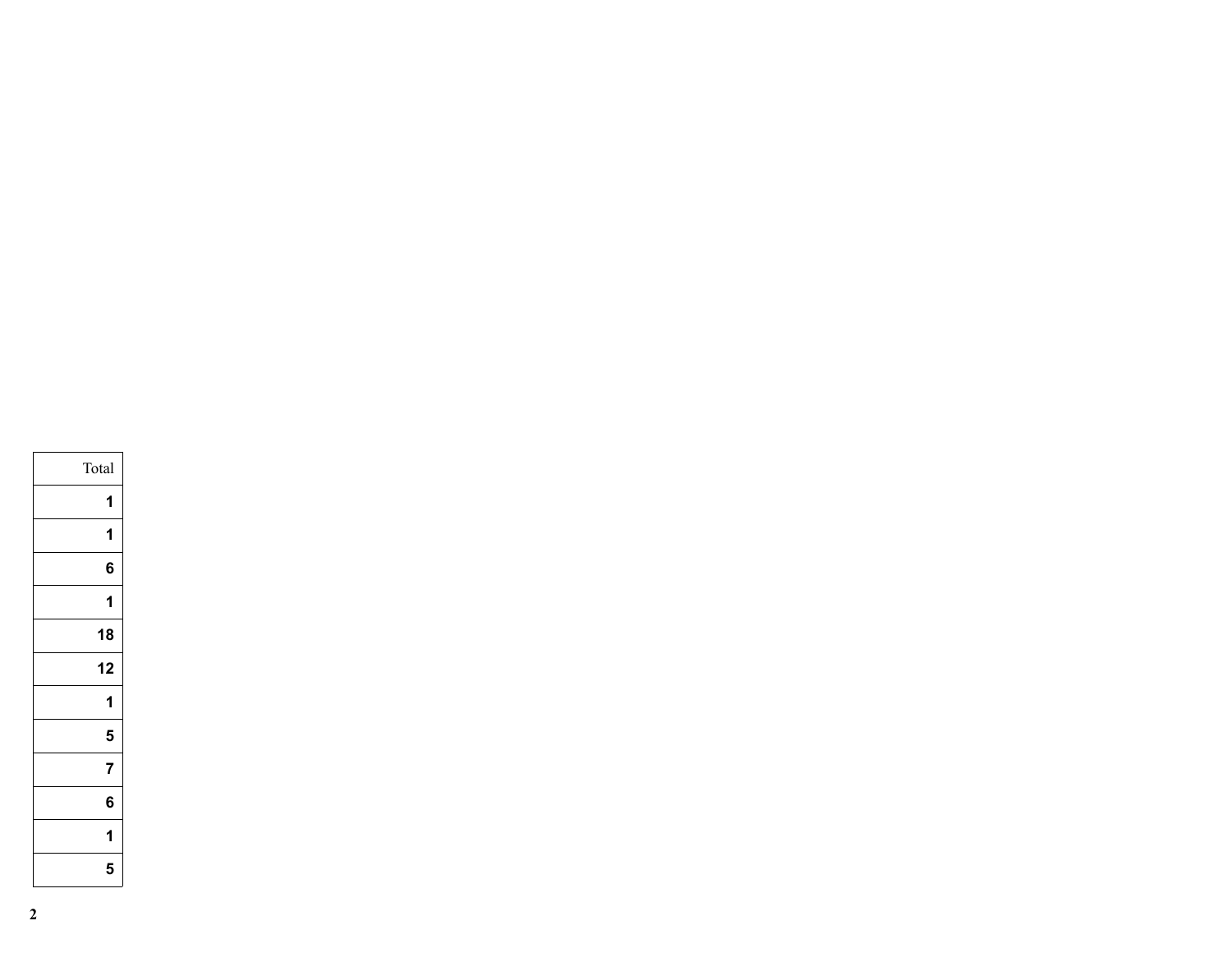| Total |
|-------|
| 1     |
| 1     |
| 6     |
| 1     |
| 18    |
| 12    |
| 1     |
| 5     |
| 7     |
| 6     |
| 1     |
| 5     |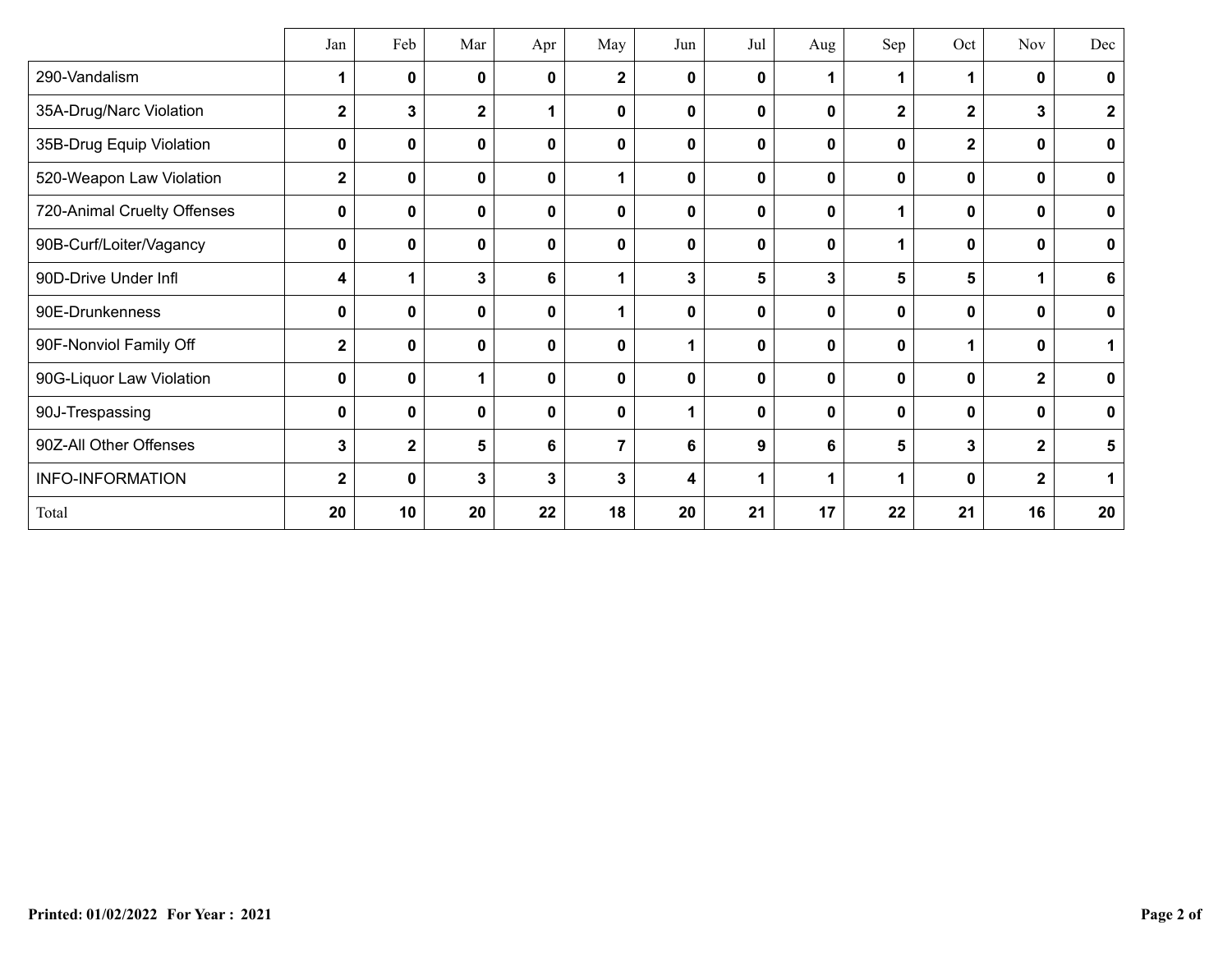|                             | Jan          | Feb          | Mar         | Apr          | May            | Jun | Jul          | Aug         | Sep         | Oct            | <b>Nov</b>     | Dec         |
|-----------------------------|--------------|--------------|-------------|--------------|----------------|-----|--------------|-------------|-------------|----------------|----------------|-------------|
| 290-Vandalism               | 1            | 0            | 0           | $\mathbf{0}$ | $\mathbf 2$    | 0   | $\mathbf{0}$ | $\mathbf 1$ | $\mathbf 1$ | $\mathbf 1$    | 0              | 0           |
| 35A-Drug/Narc Violation     | $\mathbf 2$  | 3            | $\mathbf 2$ | 1            | $\mathbf 0$    | 0   | 0            | $\mathbf 0$ | $\mathbf 2$ | $\mathbf 2$    | 3              | $\mathbf 2$ |
| 35B-Drug Equip Violation    | 0            | 0            | 0           | $\mathbf 0$  | $\pmb{0}$      | 0   | 0            | 0           | 0           | $\mathbf 2$    | 0              | $\mathbf 0$ |
| 520-Weapon Law Violation    | $\mathbf 2$  | 0            | 0           | 0            | 1              | 0   | 0            | 0           | 0           | 0              | 0              | $\mathbf 0$ |
| 720-Animal Cruelty Offenses | 0            | $\mathbf 0$  | $\mathbf 0$ | 0            | $\mathbf 0$    | 0   | 0            | $\mathbf 0$ | $\mathbf 1$ | $\mathbf 0$    | 0              | $\mathbf 0$ |
| 90B-Curf/Loiter/Vagancy     | 0            | 0            | $\mathbf 0$ | 0            | $\mathbf 0$    | 0   | 0            | $\mathbf 0$ | 1           | 0              | 0              | $\mathbf 0$ |
| 90D-Drive Under Infl        | 4            | 1            | 3           | 6            | 1              | 3   | 5            | 3           | 5           | 5              |                | 6           |
| 90E-Drunkenness             | 0            | 0            | 0           | $\mathbf 0$  | 1              | 0   | 0            | 0           | 0           | 0              | 0              | $\mathbf 0$ |
| 90F-Nonviol Family Off      | $\mathbf{2}$ | $\mathbf 0$  | $\mathbf 0$ | 0            | $\mathbf 0$    |     | 0            | $\mathbf 0$ | $\mathbf 0$ | 1              | 0              |             |
| 90G-Liquor Law Violation    | 0            | 0            |             | $\mathbf 0$  | $\mathbf 0$    | 0   | 0            | $\mathbf 0$ | $\mathbf 0$ | $\mathbf 0$    | $\overline{2}$ | $\mathbf 0$ |
| 90J-Trespassing             | 0            | $\mathbf 0$  | $\mathbf 0$ | $\bf{0}$     | $\mathbf 0$    | 1   | 0            | $\mathbf 0$ | $\mathbf 0$ | 0              | 0              | $\mathbf 0$ |
| 90Z-All Other Offenses      | $\mathbf{3}$ | $\mathbf{2}$ | 5           | 6            | $\overline{7}$ | 6   | 9            | 6           | 5           | $\overline{3}$ | $\overline{2}$ | 5           |
| <b>INFO-INFORMATION</b>     | $\mathbf{2}$ | 0            | 3           | 3            | 3              | 4   | 1            | 1           | 1           | $\mathbf 0$    | $\overline{2}$ |             |
| Total                       | 20           | 10           | 20          | 22           | 18             | 20  | 21           | 17          | 22          | 21             | 16             | 20          |